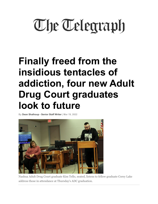## **The Telegraph**

## **Finally freed from the insidious tentacles of addiction, four new Adult Drug Court graduates look to future**

**By Dean Shalhoup - Senior Staff Writer | Mar 19, 2022**



Nashua Adult Drug Court graduate Kim Tello, seated, listens to fellow graduate Corey Lake address those in attendance at Thursday's ADC graduation.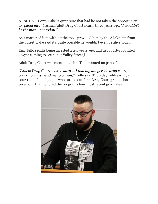NASHUA – Corey Lake is quite sure that had he not taken the opportunity to *"plead into"* Nashua Adult Drug Court nearly three years ago, *"I wouldn't be the man I am today."*

As a matter of fact, without the tools provided him by the ADC team from the outset, Lake said it's quite possible he wouldn't even be alive today.

Kim Tello recalls being arrested a few years ago, and her court-appointed lawyer coming to see her at Valley Street jail.

Adult Drug Court was mentioned, but Tello wanted no part of it.

*"I knew Drug Court was so hard … I told my lawyer 'no drug court, no probation, just send me to prison,'"* Tello said Thursday, addressing a courtroom full of people who turned out for a Drug Court graduation ceremony that honored the programs four most recent graduates.

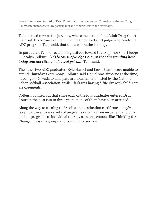Corey Lake, one of four Adult Drug Court graduates honored on Thursday, addresses Drug Court team members, fellow participants and other guests at the ceremony.

Tello turned toward the jury box, where members of the Adult Drug Court team sat. It's because of them and the Superior Court judge who heads the ADC program, Tello said, that she is where she is today.

In particular, Tello directed her gratitude toward that Superior Court judge – Jacalyn Colburn. *"It's because of Judge Colburn that I'm standing here today and not sitting in federal prison,"* Tello said.

The other two ADC graduates, Kyle Hamel and Lewis Clark, were unable to attend Thursday's ceremony. Colburn said Hamel was airborne at the time, heading for Nevada to take part in a tournament hosted by the National Sober Softball Association, while Clark was having difficulty with child-care arrangements.

Colburn pointed out that since each of the four graduates entered Drug Court in the past two to three years, none of them have been arrested.

Along the way to earning their coins and graduation certificates, they've taken part in a wide variety of programs ranging from in-patient and outpatient programs to individual therapy sessions, courses like Thinking for a Change, life-skills groups and community service.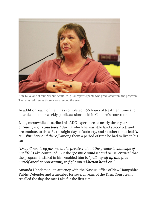

Kim Tello, one of four Nashua Adult Drug Court participants who graduated from the program Thursday, addresses those who attended the event.

In addition, each of them has completed 400 hours of treatment time and attended all their weekly public sessions held in Colburn's courtroom.

Lake, meanwhile, described his ADC experience as nearly three years of *"many highs and lows,"* during which he was able land a good job and accumulate, to date, 621 straight days of sobriety, and at other times had *"a few slips here and there,"* among them a period of time he had to live in his car.

*"Drug Court is by far one of the greatest, if not the greatest, challenge of my life,"* Lake continued. But the *"positive mindset and perseverance"* that the program instilled in him enabled him to *"pull myself up and give myself another opportunity to fight my addiction head-on."*

Amanda Henderson, an attorney with the Nashua office of New Hampshire Public Defender and a member for several years of the Drug Court team, recalled the day she met Lake for the first time.